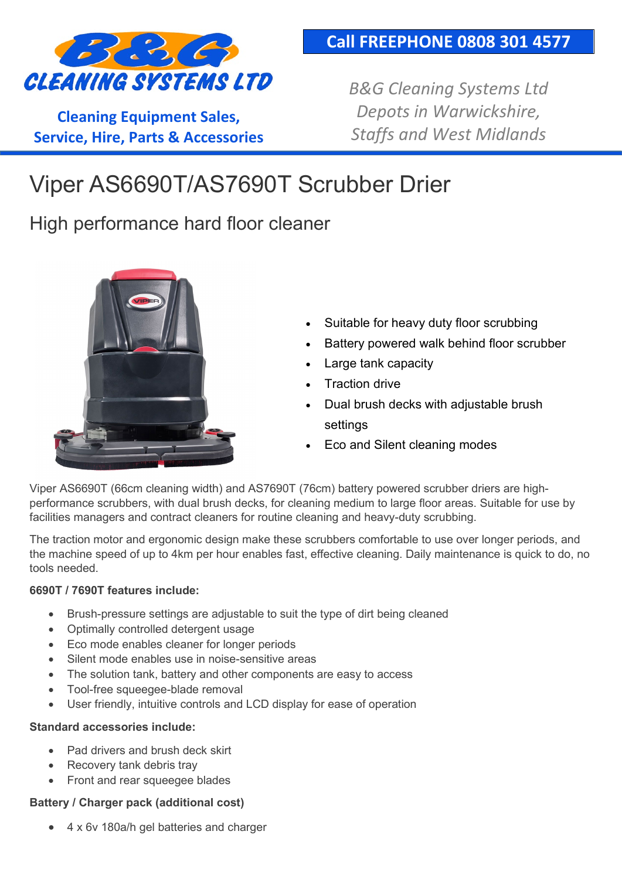

**Cleaning Equipment Sales, Service, Hire, Parts & Accessories** *B&G Cleaning Systems Ltd Depots in Warwickshire, Staffs and West Midlands*

# Viper AS6690T/AS7690T Scrubber Drier

High performance hard floor cleaner



- Suitable for heavy duty floor scrubbing
- Battery powered walk behind floor scrubber
- Large tank capacity
- **Traction drive**
- Dual brush decks with adjustable brush settings
- Eco and Silent cleaning modes

Viper AS6690T (66cm cleaning width) and AS7690T (76cm) battery powered scrubber driers are highperformance scrubbers, with dual brush decks, for cleaning medium to large floor areas. Suitable for use by facilities managers and contract cleaners for routine cleaning and heavy-duty scrubbing.

The traction motor and ergonomic design make these scrubbers comfortable to use over longer periods, and the machine speed of up to 4km per hour enables fast, effective cleaning. Daily maintenance is quick to do, no tools needed.

#### **6690T / 7690T features include:**

- Brush-pressure settings are adjustable to suit the type of dirt being cleaned
- Optimally controlled detergent usage
- Eco mode enables cleaner for longer periods
- Silent mode enables use in noise-sensitive areas
- The solution tank, battery and other components are easy to access
- Tool-free squeegee-blade removal
- User friendly, intuitive controls and LCD display for ease of operation

#### **Standard accessories include:**

- Pad drivers and brush deck skirt
- Recovery tank debris tray
- Front and rear squeegee blades

#### **Battery / Charger pack (additional cost)**

4 x 6v 180a/h gel batteries and charger